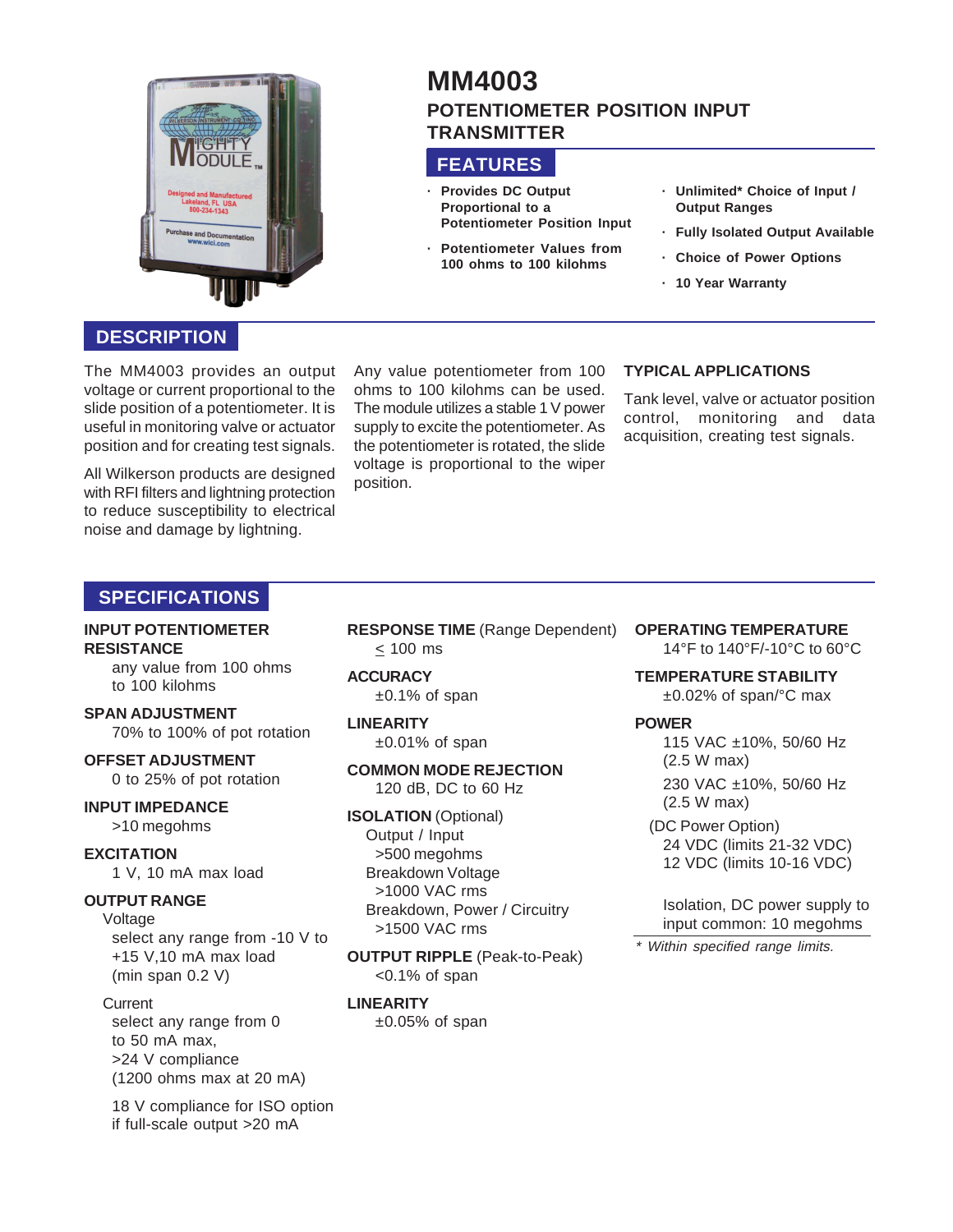

## **MM4003 POTENTIOMETER POSITION INPUT TRANSMITTER**

## **FEATURES**

- **· Provides DC Output Proportional to a Potentiometer Position Input**
- **· Potentiometer Values from 100 ohms to 100 kilohms**
- **· Unlimited\* Choice of Input / Output Ranges**
- **· Fully Isolated Output Available**
- **· Choice of Power Options**
- **· 10 Year Warranty**

## **DESCRIPTION**

The MM4003 provides an output voltage or current proportional to the slide position of a potentiometer. It is useful in monitoring valve or actuator position and for creating test signals.

All Wilkerson products are designed with RFI filters and lightning protection to reduce susceptibility to electrical noise and damage by lightning.

Any value potentiometer from 100 ohms to 100 kilohms can be used. The module utilizes a stable 1 V power supply to excite the potentiometer. As the potentiometer is rotated, the slide voltage is proportional to the wiper position.

#### **TYPICAL APPLICATIONS**

Tank level, valve or actuator position control, monitoring and data acquisition, creating test signals.

## **SPECIFICATIONS**

#### **INPUT POTENTIOMETER RESISTANCE**

any value from 100 ohms to 100 kilohms

# **SPAN ADJUSTMENT**

70% to 100% of pot rotation

## **OFFSET ADJUSTMENT**

0 to 25% of pot rotation

#### **INPUT IMPEDANCE** >10 megohms

**EXCITATION**

## 1 V, 10 mA max load

#### **OUTPUT RANGE**

Voltage select any range from -10 V to +15 V,10 mA max load (min span 0.2 V)

#### **Current**

select any range from 0 to 50 mA max, >24 V compliance (1200 ohms max at 20 mA)

18 V compliance for ISO option if full-scale output >20 mA

**RESPONSE TIME** (Range Dependent) < 100 ms

#### **ACCURACY** ±0.1% of span

**LINEARITY** ±0.01% of span

#### **COMMON MODE REJECTION** 120 dB, DC to 60 Hz

#### **ISOLATION** (Optional) Output / Input >500 megohms Breakdown Voltage >1000 VAC rms Breakdown, Power / Circuitry >1500 VAC rms

#### **OUTPUT RIPPLE** (Peak-to-Peak) <0.1% of span

#### **LINEARITY**

 $±0.05%$  of span

#### **OPERATING TEMPERATURE**

14°F to 140°F/-10°C to 60°C

**TEMPERATURE STABILITY** ±0.02% of span/°C max

#### **POWER**

115 VAC ±10%, 50/60 Hz (2.5 W max) 230 VAC ±10%, 50/60 Hz (2.5 W max)

(DC Power Option) 24 VDC (limits 21-32 VDC) 12 VDC (limits 10-16 VDC)

Isolation, DC power supply to input common: 10 megohms

Within specified range limits.